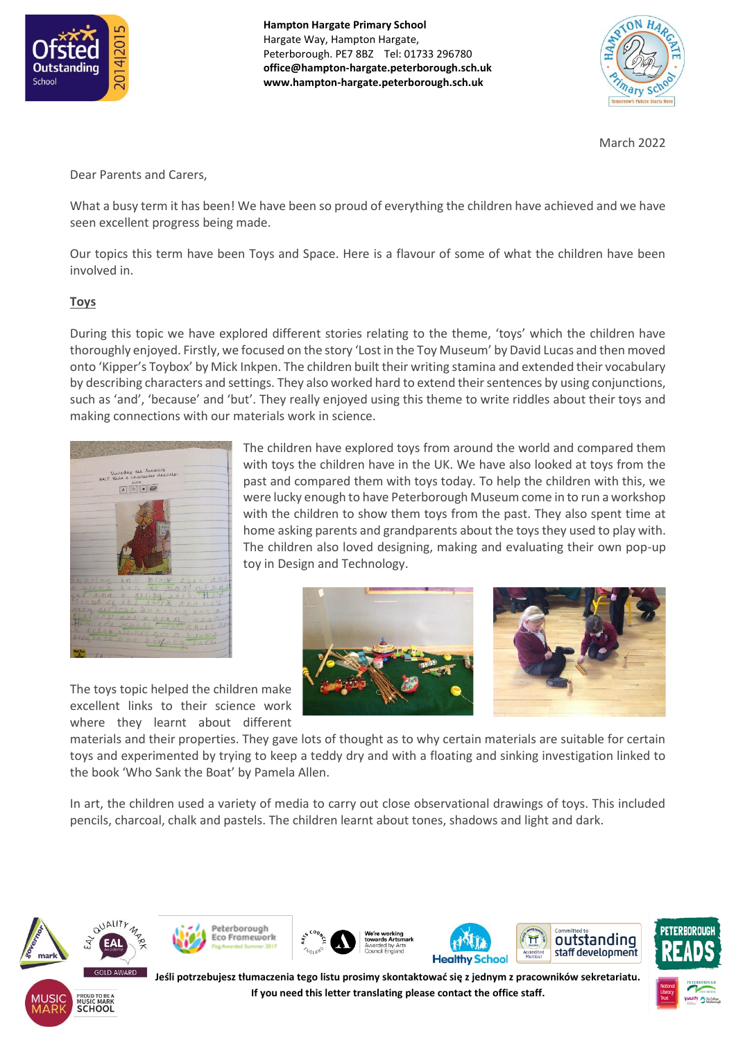

**Hampton Hargate Primary School** Hargate Way, Hampton Hargate, Peterborough. PE7 8BZ Tel: 01733 296780 **office@hampton-hargate.peterborough.sch.uk www.hampton-hargate.peterborough.sch.uk**



March 2022

Dear Parents and Carers,

What a busy term it has been! We have been so proud of everything the children have achieved and we have seen excellent progress being made.

Our topics this term have been Toys and Space. Here is a flavour of some of what the children have been involved in.

## **Toys**

During this topic we have explored different stories relating to the theme, 'toys' which the children have thoroughly enjoyed. Firstly, we focused on the story 'Lost in the Toy Museum' by David Lucas and then moved onto 'Kipper's Toybox' by Mick Inkpen. The children built their writing stamina and extended their vocabulary by describing characters and settings. They also worked hard to extend their sentences by using conjunctions, such as 'and', 'because' and 'but'. They really enjoyed using this theme to write riddles about their toys and making connections with our materials work in science.



The children have explored toys from around the world and compared them with toys the children have in the UK. We have also looked at toys from the past and compared them with toys today. To help the children with this, we were lucky enough to have Peterborough Museum come in to run a workshop with the children to show them toys from the past. They also spent time at home asking parents and grandparents about the toys they used to play with. The children also loved designing, making and evaluating their own pop-up toy in Design and Technology.



The toys topic helped the children make excellent links to their science work where they learnt about different

materials and their properties. They gave lots of thought as to why certain materials are suitable for certain toys and experimented by trying to keep a teddy dry and with a floating and sinking investigation linked to the book 'Who Sank the Boat' by Pamela Allen.

In art, the children used a variety of media to carry out close observational drawings of toys. This included pencils, charcoal, chalk and pastels. The children learnt about tones, shadows and light and dark.



**SCHOOL** 











**Jeśli potrzebujesz tłumaczenia tego listu prosimy skontaktować się z jednym z pracowników sekretariatu. If you need this letter translating please contact the office staff.**